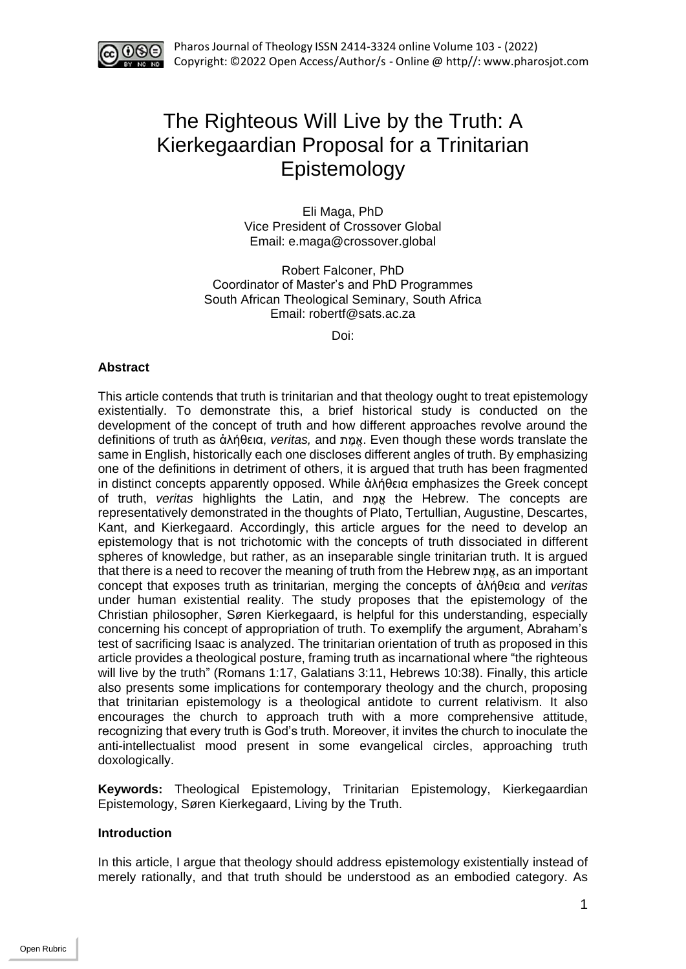

# The Righteous Will Live by the Truth: A Kierkegaardian Proposal for a Trinitarian Epistemology

Eli Maga, PhD Vice President of Crossover Global Email: e.maga@crossover.global

Robert Falconer, PhD Coordinator of Master's and PhD Programmes South African Theological Seminary, South Africa Email: robertf@sats.ac.za

Doi:

## **Abstract**

This article contends that truth is trinitarian and that theology ought to treat epistemology existentially. To demonstrate this, a brief historical study is conducted on the development of the concept of truth and how different approaches revolve around the definitions of truth as ἀλήθεια, *veritas*, and אמת. Even though these words translate the same in English, historically each one discloses different angles of truth. By emphasizing one of the definitions in detriment of others, it is argued that truth has been fragmented in distinct concepts apparently opposed. While ἀλήθεια emphasizes the Greek concept of truth, *veritas* highlights the Latin, and ת ֶמֱא the Hebrew. The concepts are representatively demonstrated in the thoughts of Plato, Tertullian, Augustine, Descartes, Kant, and Kierkegaard. Accordingly, this article argues for the need to develop an epistemology that is not trichotomic with the concepts of truth dissociated in different spheres of knowledge, but rather, as an inseparable single trinitarian truth. It is argued that there is a need to recover the meaning of truth from the Hebrew ת ֶמֱא, as an important concept that exposes truth as trinitarian, merging the concepts of ἀλήθεια and *veritas* under human existential reality. The study proposes that the epistemology of the Christian philosopher, Søren Kierkegaard, is helpful for this understanding, especially concerning his concept of appropriation of truth. To exemplify the argument, Abraham's test of sacrificing Isaac is analyzed. The trinitarian orientation of truth as proposed in this article provides a theological posture, framing truth as incarnational where "the righteous will live by the truth" (Romans 1:17, Galatians 3:11, Hebrews 10:38). Finally, this article also presents some implications for contemporary theology and the church, proposing that trinitarian epistemology is a theological antidote to current relativism. It also encourages the church to approach truth with a more comprehensive attitude, recognizing that every truth is God's truth. Moreover, it invites the church to inoculate the anti-intellectualist mood present in some evangelical circles, approaching truth doxologically.

**Keywords:** Theological Epistemology, Trinitarian Epistemology, Kierkegaardian Epistemology, Søren Kierkegaard, Living by the Truth.

## **Introduction**

In this article, I argue that theology should address epistemology existentially instead of merely rationally, and that truth should be understood as an embodied category. As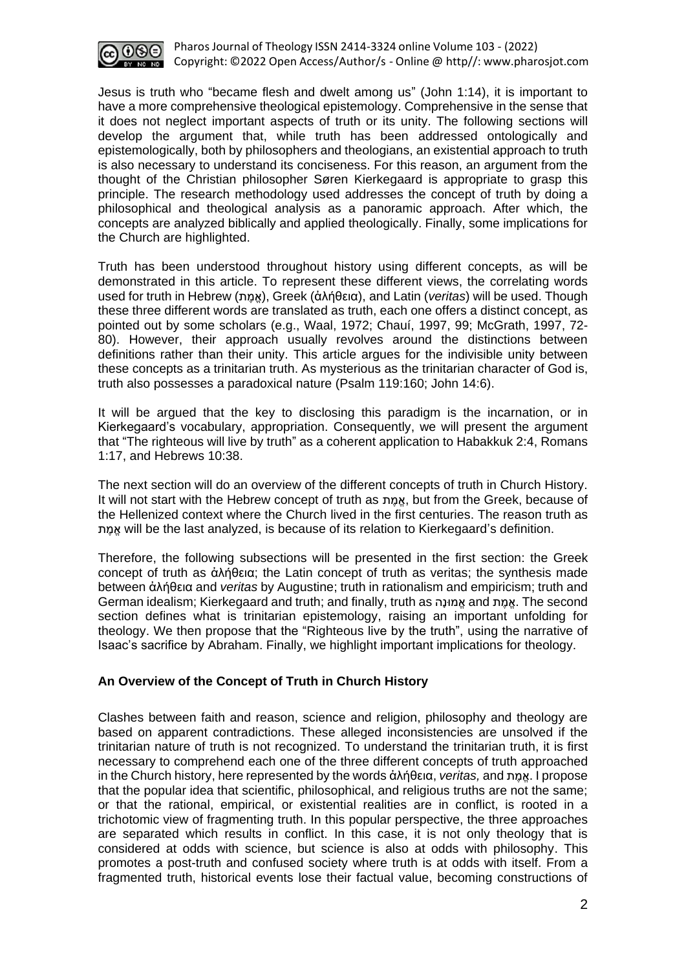

Jesus is truth who "became flesh and dwelt among us" (John 1:14), it is important to have a more comprehensive theological epistemology. Comprehensive in the sense that it does not neglect important aspects of truth or its unity. The following sections will develop the argument that, while truth has been addressed ontologically and epistemologically, both by philosophers and theologians, an existential approach to truth is also necessary to understand its conciseness. For this reason, an argument from the thought of the Christian philosopher Søren Kierkegaard is appropriate to grasp this principle. The research methodology used addresses the concept of truth by doing a philosophical and theological analysis as a panoramic approach. After which, the concepts are analyzed biblically and applied theologically. Finally, some implications for the Church are highlighted.

Truth has been understood throughout history using different concepts, as will be demonstrated in this article. To represent these different views, the correlating words used for truth in Hebrew (ת ֶמֱא(, Greek (ἀλήθεια), and Latin (*veritas*) will be used. Though these three different words are translated as truth, each one offers a distinct concept, as pointed out by some scholars (e.g., Waal, 1972; Chauí, 1997, 99; McGrath, 1997, 72- 80). However, their approach usually revolves around the distinctions between definitions rather than their unity. This article argues for the indivisible unity between these concepts as a trinitarian truth. As mysterious as the trinitarian character of God is, truth also possesses a paradoxical nature (Psalm 119:160; John 14:6).

It will be argued that the key to disclosing this paradigm is the incarnation, or in Kierkegaard's vocabulary, appropriation. Consequently, we will present the argument that "The righteous will live by truth" as a coherent application to Habakkuk 2:4, Romans 1:17, and Hebrews 10:38.

The next section will do an overview of the different concepts of truth in Church History. It will not start with the Hebrew concept of truth as ת ֶמֱא, but from the Greek, because of the Hellenized context where the Church lived in the first centuries. The reason truth as ת ֶמֱא will be the last analyzed, is because of its relation to Kierkegaard's definition.

Therefore, the following subsections will be presented in the first section: the Greek concept of truth as ἀλήθεια; the Latin concept of truth as veritas; the synthesis made between ἀλήθεια and *veritas* by Augustine; truth in rationalism and empiricism; truth and German idealism; Kierkegaard and truth; and finally, truth as הָונּמֱא and ת ֶמֱא. The second section defines what is trinitarian epistemology, raising an important unfolding for theology. We then propose that the "Righteous live by the truth", using the narrative of Isaac's sacrifice by Abraham. Finally, we highlight important implications for theology.

## **An Overview of the Concept of Truth in Church History**

Clashes between faith and reason, science and religion, philosophy and theology are based on apparent contradictions. These alleged inconsistencies are unsolved if the trinitarian nature of truth is not recognized. To understand the trinitarian truth, it is first necessary to comprehend each one of the three different concepts of truth approached in the Church history, here represented by the words ἀλήθεια, *veritas,* and ת ֶמֱא. I propose that the popular idea that scientific, philosophical, and religious truths are not the same; or that the rational, empirical, or existential realities are in conflict, is rooted in a trichotomic view of fragmenting truth. In this popular perspective, the three approaches are separated which results in conflict. In this case, it is not only theology that is considered at odds with science, but science is also at odds with philosophy. This promotes a post-truth and confused society where truth is at odds with itself. From a fragmented truth, historical events lose their factual value, becoming constructions of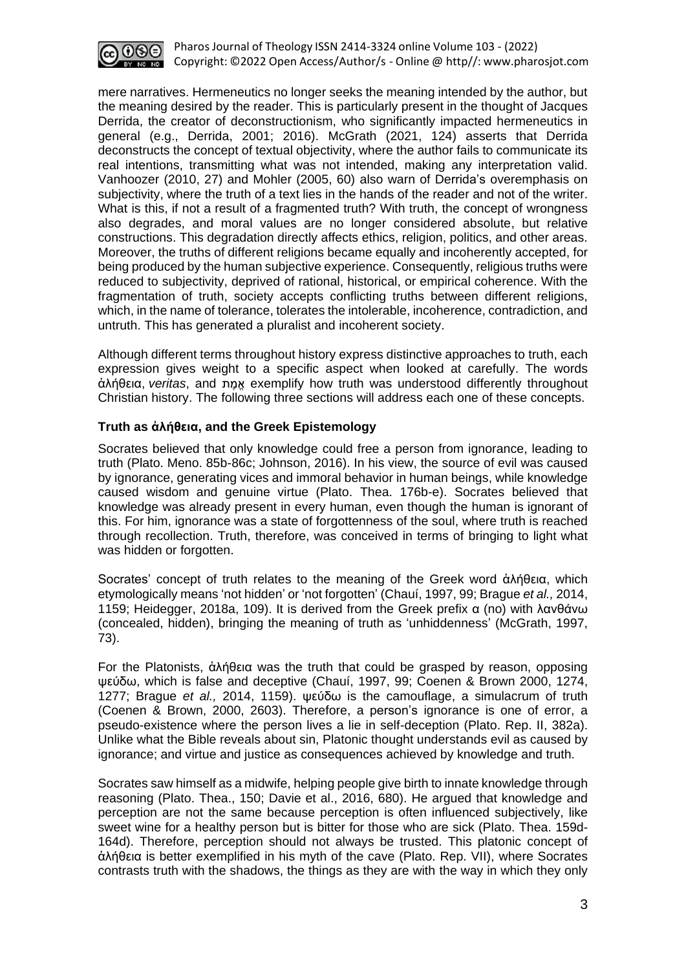

mere narratives. Hermeneutics no longer seeks the meaning intended by the author, but the meaning desired by the reader. This is particularly present in the thought of Jacques Derrida, the creator of deconstructionism, who significantly impacted hermeneutics in general (e.g., Derrida, 2001; 2016). McGrath (2021, 124) asserts that Derrida deconstructs the concept of textual objectivity, where the author fails to communicate its real intentions, transmitting what was not intended, making any interpretation valid. Vanhoozer (2010, 27) and Mohler (2005, 60) also warn of Derrida's overemphasis on subjectivity, where the truth of a text lies in the hands of the reader and not of the writer. What is this, if not a result of a fragmented truth? With truth, the concept of wrongness also degrades, and moral values are no longer considered absolute, but relative constructions. This degradation directly affects ethics, religion, politics, and other areas. Moreover, the truths of different religions became equally and incoherently accepted, for being produced by the human subjective experience. Consequently, religious truths were reduced to subjectivity, deprived of rational, historical, or empirical coherence. With the fragmentation of truth, society accepts conflicting truths between different religions, which, in the name of tolerance, tolerates the intolerable, incoherence, contradiction, and untruth. This has generated a pluralist and incoherent society.

Although different terms throughout history express distinctive approaches to truth, each expression gives weight to a specific aspect when looked at carefully. The words άλήθεια, veritas, and <u>η α</u> exemplify how truth was understood differently throughout Christian history. The following three sections will address each one of these concepts.

# **Truth as ἀλήθεια, and the Greek Epistemology**

Socrates believed that only knowledge could free a person from ignorance, leading to truth (Plato. Meno. 85b-86c; Johnson, 2016). In his view, the source of evil was caused by ignorance, generating vices and immoral behavior in human beings, while knowledge caused wisdom and genuine virtue (Plato. Thea. 176b-e). Socrates believed that knowledge was already present in every human, even though the human is ignorant of this. For him, ignorance was a state of forgottenness of the soul, where truth is reached through recollection. Truth, therefore, was conceived in terms of bringing to light what was hidden or forgotten.

Socrates' concept of truth relates to the meaning of the Greek word ἀλήθεια, which etymologically means 'not hidden' or 'not forgotten' (Chauí, 1997, 99; Brague *et al.,* 2014, 1159; Heidegger, 2018a, 109). It is derived from the Greek prefix α (no) with λανθάνω (concealed, hidden), bringing the meaning of truth as 'unhiddenness' (McGrath, 1997, 73).

For the Platonists, ἀλήθεια was the truth that could be grasped by reason, opposing ψεύδω, which is false and deceptive (Chauí, 1997, 99; Coenen & Brown 2000, 1274, 1277; Brague *et al.,* 2014, 1159). ψεύδω is the camouflage, a simulacrum of truth (Coenen & Brown, 2000, 2603). Therefore, a person's ignorance is one of error, a pseudo-existence where the person lives a lie in self-deception (Plato. Rep. II, 382a). Unlike what the Bible reveals about sin, Platonic thought understands evil as caused by ignorance; and virtue and justice as consequences achieved by knowledge and truth.

Socrates saw himself as a midwife, helping people give birth to innate knowledge through reasoning (Plato. Thea., 150; Davie et al., 2016, 680). He argued that knowledge and perception are not the same because perception is often influenced subjectively, like sweet wine for a healthy person but is bitter for those who are sick (Plato. Thea. 159d-164d). Therefore, perception should not always be trusted. This platonic concept of ἀλήθεια is better exemplified in his myth of the cave (Plato. Rep. VII), where Socrates contrasts truth with the shadows, the things as they are with the way in which they only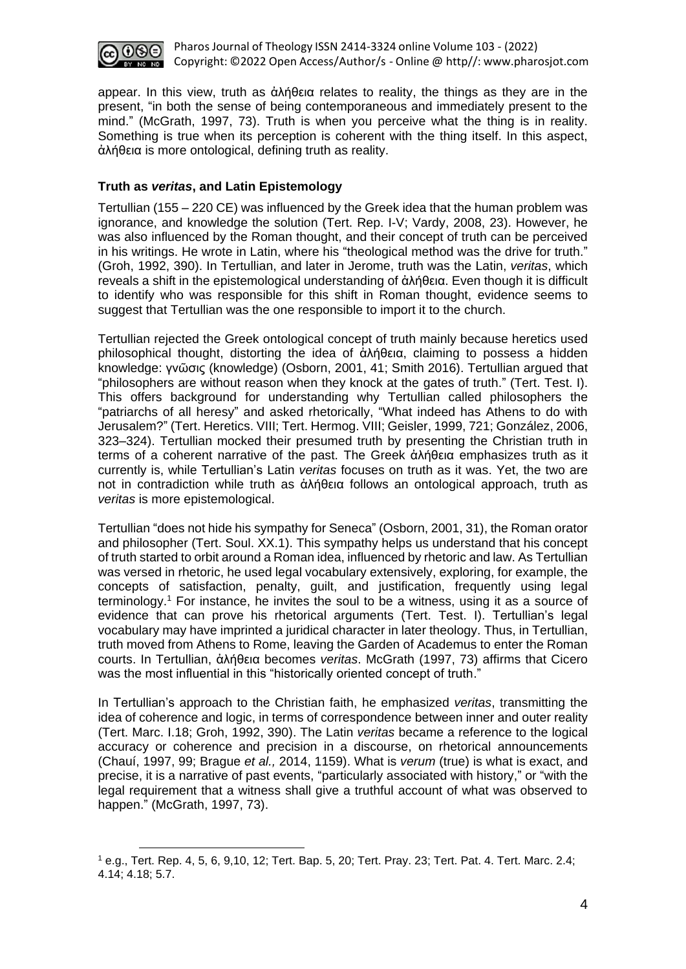

appear. In this view, truth as ἀλήθεια relates to reality, the things as they are in the present, "in both the sense of being contemporaneous and immediately present to the mind." (McGrath, 1997, 73). Truth is when you perceive what the thing is in reality. Something is true when its perception is coherent with the thing itself. In this aspect, ἀλήθεια is more ontological, defining truth as reality.

# **Truth as** *veritas***, and Latin Epistemology**

Tertullian (155 – 220 CE) was influenced by the Greek idea that the human problem was ignorance, and knowledge the solution (Tert. Rep. I-V; Vardy, 2008, 23). However, he was also influenced by the Roman thought, and their concept of truth can be perceived in his writings. He wrote in Latin, where his "theological method was the drive for truth." (Groh, 1992, 390). In Tertullian, and later in Jerome, truth was the Latin, *veritas*, which reveals a shift in the epistemological understanding of ἀλήθεια. Even though it is difficult to identify who was responsible for this shift in Roman thought, evidence seems to suggest that Tertullian was the one responsible to import it to the church.

Tertullian rejected the Greek ontological concept of truth mainly because heretics used philosophical thought, distorting the idea of ἀλήθεια, claiming to possess a hidden knowledge: γνῶσις (knowledge) (Osborn, 2001, 41; Smith 2016). Tertullian argued that "philosophers are without reason when they knock at the gates of truth." (Tert. Test. I). This offers background for understanding why Tertullian called philosophers the "patriarchs of all heresy" and asked rhetorically, "What indeed has Athens to do with Jerusalem?" (Tert. Heretics. VIII; Tert. Hermog. VIII; Geisler, 1999, 721; González, 2006, 323–324). Tertullian mocked their presumed truth by presenting the Christian truth in terms of a coherent narrative of the past. The Greek ἀλήθεια emphasizes truth as it currently is, while Tertullian's Latin *veritas* focuses on truth as it was. Yet, the two are not in contradiction while truth as ἀλήθεια follows an ontological approach, truth as *veritas* is more epistemological.

Tertullian "does not hide his sympathy for Seneca" (Osborn, 2001, 31), the Roman orator and philosopher (Tert. Soul. XX.1). This sympathy helps us understand that his concept of truth started to orbit around a Roman idea, influenced by rhetoric and law. As Tertullian was versed in rhetoric, he used legal vocabulary extensively, exploring, for example, the concepts of satisfaction, penalty, guilt, and justification, frequently using legal terminology. <sup>1</sup> For instance, he invites the soul to be a witness, using it as a source of evidence that can prove his rhetorical arguments (Tert. Test. I). Tertullian's legal vocabulary may have imprinted a juridical character in later theology. Thus, in Tertullian, truth moved from Athens to Rome, leaving the Garden of Academus to enter the Roman courts. In Tertullian, ἀλήθεια becomes *veritas*. McGrath (1997, 73) affirms that Cicero was the most influential in this "historically oriented concept of truth."

In Tertullian's approach to the Christian faith, he emphasized *veritas*, transmitting the idea of coherence and logic, in terms of correspondence between inner and outer reality (Tert. Marc. I.18; Groh, 1992, 390). The Latin *veritas* became a reference to the logical accuracy or coherence and precision in a discourse, on rhetorical announcements (Chauí, 1997, 99; Brague *et al.,* 2014, 1159). What is *verum* (true) is what is exact, and precise, it is a narrative of past events, "particularly associated with history," or "with the legal requirement that a witness shall give a truthful account of what was observed to happen." (McGrath, 1997, 73).

<sup>1</sup> e.g., Tert. Rep. 4, 5, 6, 9,10, 12; Tert. Bap. 5, 20; Tert. Pray. 23; Tert. Pat. 4. Tert. Marc. 2.4; 4.14; 4.18; 5.7.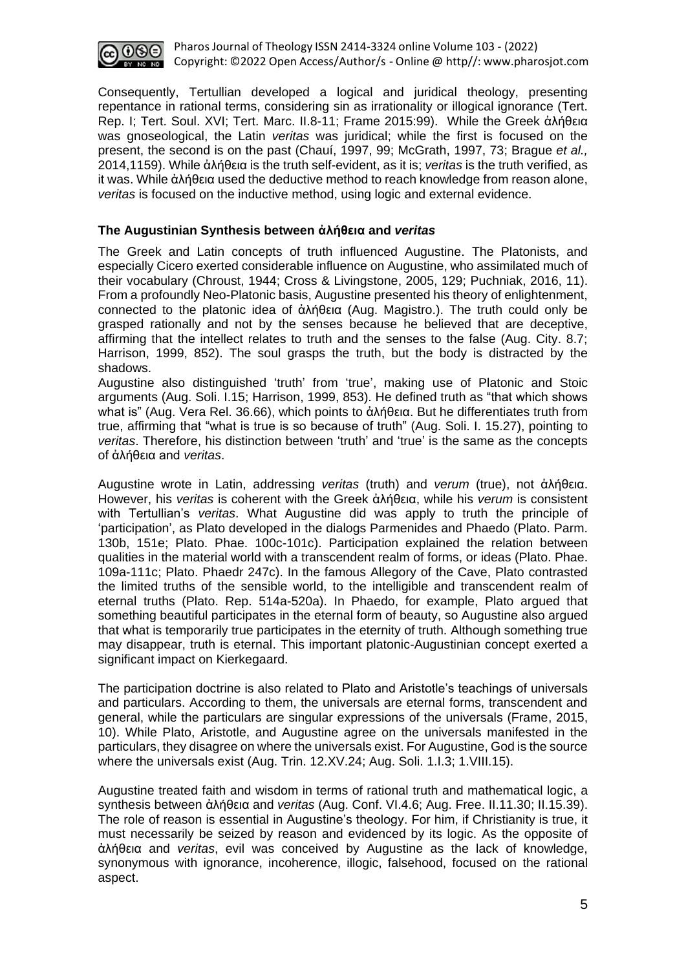

Consequently, Tertullian developed a logical and juridical theology, presenting repentance in rational terms, considering sin as irrationality or illogical ignorance (Tert. Rep. I; Tert. Soul. XVI; Tert. Marc. II.8-11; Frame 2015:99). While the Greek ἀλήθεια was gnoseological, the Latin *veritas* was juridical; while the first is focused on the present, the second is on the past (Chauí, 1997, 99; McGrath, 1997, 73; Brague *et al.,* 2014,1159). While ἀλήθεια is the truth self-evident, as it is; *veritas* is the truth verified, as it was. While ἀλήθεια used the deductive method to reach knowledge from reason alone, *veritas* is focused on the inductive method, using logic and external evidence.

## **The Augustinian Synthesis between ἀλήθεια and** *veritas*

The Greek and Latin concepts of truth influenced Augustine. The Platonists, and especially Cicero exerted considerable influence on Augustine, who assimilated much of their vocabulary (Chroust, 1944; Cross & Livingstone, 2005, 129; Puchniak, 2016, 11). From a profoundly Neo-Platonic basis, Augustine presented his theory of enlightenment, connected to the platonic idea of ἀλήθεια (Aug. Magistro.). The truth could only be grasped rationally and not by the senses because he believed that are deceptive, affirming that the intellect relates to truth and the senses to the false (Aug. City. 8.7; Harrison, 1999, 852). The soul grasps the truth, but the body is distracted by the shadows.

Augustine also distinguished 'truth' from 'true', making use of Platonic and Stoic arguments (Aug. Soli. I.15; Harrison, 1999, 853). He defined truth as "that which shows what is" (Aug. Vera Rel. 36.66), which points to ἀλήθεια. But he differentiates truth from true, affirming that "what is true is so because of truth" (Aug. Soli. I. 15.27), pointing to *veritas*. Therefore, his distinction between 'truth' and 'true' is the same as the concepts of ἀλήθεια and *veritas*.

Augustine wrote in Latin, addressing *veritas* (truth) and *verum* (true), not ἀλήθεια. However, his *veritas* is coherent with the Greek ἀλήθεια, while his *verum* is consistent with Tertullian's *veritas*. What Augustine did was apply to truth the principle of 'participation', as Plato developed in the dialogs Parmenides and Phaedo (Plato. Parm. 130b, 151e; Plato. Phae. 100c-101c). Participation explained the relation between qualities in the material world with a transcendent realm of forms, or ideas (Plato. Phae. 109a-111c; Plato. Phaedr 247c). In the famous Allegory of the Cave, Plato contrasted the limited truths of the sensible world, to the intelligible and transcendent realm of eternal truths (Plato. Rep. 514a-520a). In Phaedo, for example, Plato argued that something beautiful participates in the eternal form of beauty, so Augustine also argued that what is temporarily true participates in the eternity of truth. Although something true may disappear, truth is eternal. This important platonic-Augustinian concept exerted a significant impact on Kierkegaard.

The participation doctrine is also related to Plato and Aristotle's teachings of universals and particulars. According to them, the universals are eternal forms, transcendent and general, while the particulars are singular expressions of the universals (Frame, 2015, 10). While Plato, Aristotle, and Augustine agree on the universals manifested in the particulars, they disagree on where the universals exist. For Augustine, God is the source where the universals exist (Aug. Trin. 12.XV.24; Aug. Soli. 1.I.3; 1.VIII.15).

Augustine treated faith and wisdom in terms of rational truth and mathematical logic, a synthesis between ἀλήθεια and *veritas* (Aug. Conf. VI.4.6; Aug. Free. II.11.30; II.15.39). The role of reason is essential in Augustine's theology. For him, if Christianity is true, it must necessarily be seized by reason and evidenced by its logic. As the opposite of ἀλήθεια and *veritas*, evil was conceived by Augustine as the lack of knowledge, synonymous with ignorance, incoherence, illogic, falsehood, focused on the rational aspect.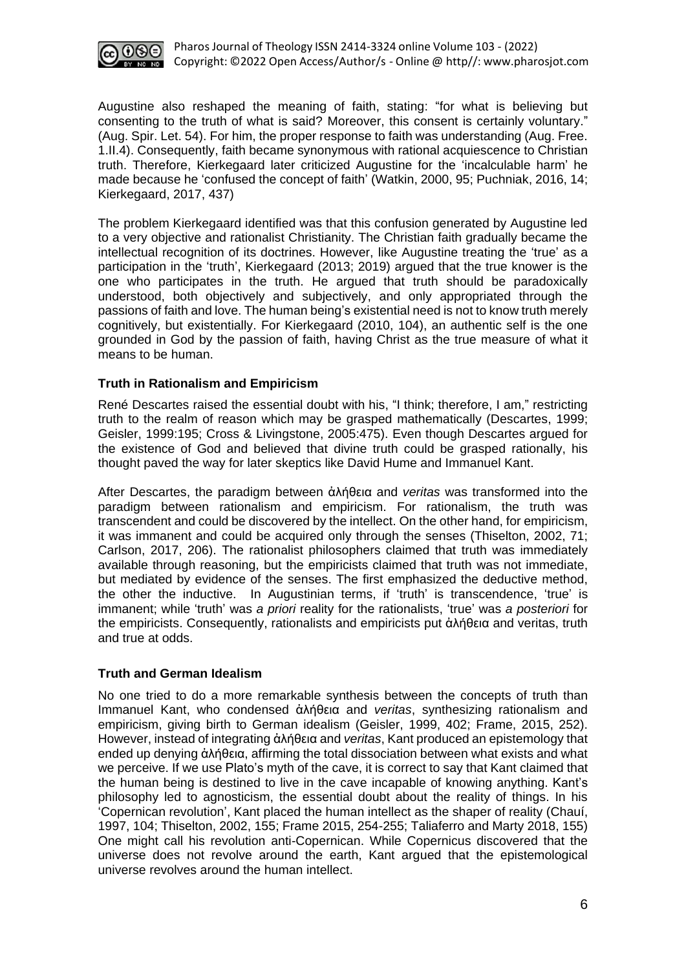

Augustine also reshaped the meaning of faith, stating: "for what is believing but consenting to the truth of what is said? Moreover, this consent is certainly voluntary." (Aug. Spir. Let. 54). For him, the proper response to faith was understanding (Aug. Free. 1.II.4). Consequently, faith became synonymous with rational acquiescence to Christian truth. Therefore, Kierkegaard later criticized Augustine for the 'incalculable harm' he made because he 'confused the concept of faith' (Watkin, 2000, 95; Puchniak, 2016, 14; Kierkegaard, 2017, 437)

The problem Kierkegaard identified was that this confusion generated by Augustine led to a very objective and rationalist Christianity. The Christian faith gradually became the intellectual recognition of its doctrines. However, like Augustine treating the 'true' as a participation in the 'truth', Kierkegaard (2013; 2019) argued that the true knower is the one who participates in the truth. He argued that truth should be paradoxically understood, both objectively and subjectively, and only appropriated through the passions of faith and love. The human being's existential need is not to know truth merely cognitively, but existentially. For Kierkegaard (2010, 104), an authentic self is the one grounded in God by the passion of faith, having Christ as the true measure of what it means to be human.

# **Truth in Rationalism and Empiricism**

René Descartes raised the essential doubt with his, "I think; therefore, I am," restricting truth to the realm of reason which may be grasped mathematically (Descartes, 1999; Geisler, 1999:195; Cross & Livingstone, 2005:475). Even though Descartes argued for the existence of God and believed that divine truth could be grasped rationally, his thought paved the way for later skeptics like David Hume and Immanuel Kant.

After Descartes, the paradigm between ἀλήθεια and *veritas* was transformed into the paradigm between rationalism and empiricism. For rationalism, the truth was transcendent and could be discovered by the intellect. On the other hand, for empiricism, it was immanent and could be acquired only through the senses (Thiselton, 2002, 71; Carlson, 2017, 206). The rationalist philosophers claimed that truth was immediately available through reasoning, but the empiricists claimed that truth was not immediate, but mediated by evidence of the senses. The first emphasized the deductive method, the other the inductive. In Augustinian terms, if 'truth' is transcendence, 'true' is immanent; while 'truth' was *a priori* reality for the rationalists, 'true' was *a posteriori* for the empiricists. Consequently, rationalists and empiricists put ἀλήθεια and veritas, truth and true at odds.

## **Truth and German Idealism**

No one tried to do a more remarkable synthesis between the concepts of truth than Immanuel Kant, who condensed ἀλήθεια and *veritas*, synthesizing rationalism and empiricism, giving birth to German idealism (Geisler, 1999, 402; Frame, 2015, 252). However, instead of integrating ἀλήθεια and *veritas*, Kant produced an epistemology that ended up denying ἀλήθεια, affirming the total dissociation between what exists and what we perceive. If we use Plato's myth of the cave, it is correct to say that Kant claimed that the human being is destined to live in the cave incapable of knowing anything. Kant's philosophy led to agnosticism, the essential doubt about the reality of things. In his 'Copernican revolution', Kant placed the human intellect as the shaper of reality (Chauí, 1997, 104; Thiselton, 2002, 155; Frame 2015, 254-255; Taliaferro and Marty 2018, 155) One might call his revolution anti-Copernican. While Copernicus discovered that the universe does not revolve around the earth, Kant argued that the epistemological universe revolves around the human intellect.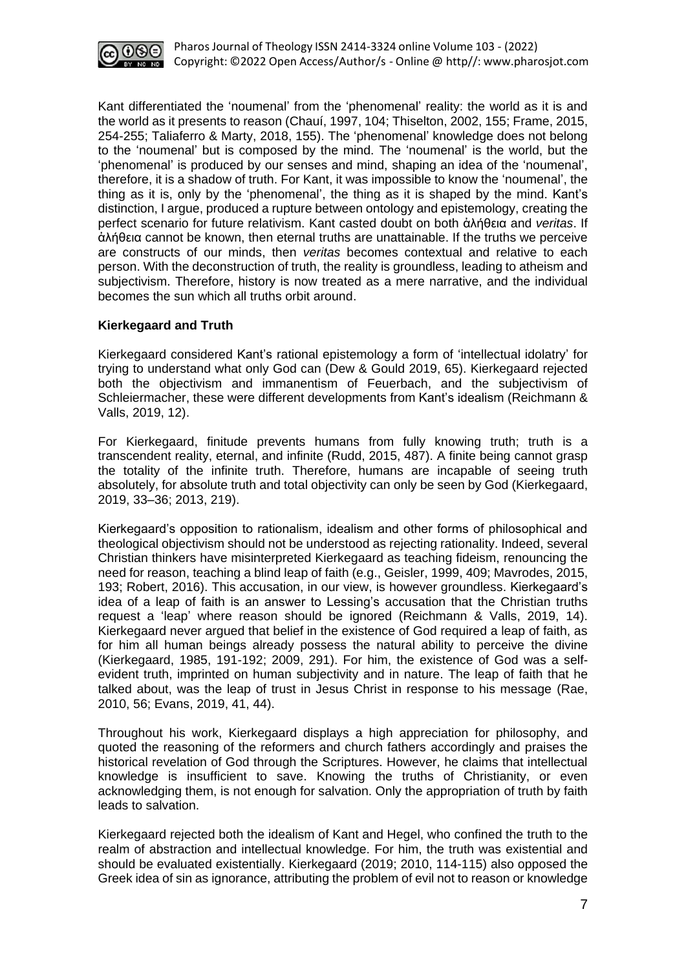

Kant differentiated the 'noumenal' from the 'phenomenal' reality: the world as it is and the world as it presents to reason (Chauí, 1997, 104; Thiselton, 2002, 155; Frame, 2015, 254-255; Taliaferro & Marty, 2018, 155). The 'phenomenal' knowledge does not belong to the 'noumenal' but is composed by the mind. The 'noumenal' is the world, but the 'phenomenal' is produced by our senses and mind, shaping an idea of the 'noumenal', therefore, it is a shadow of truth. For Kant, it was impossible to know the 'noumenal', the thing as it is, only by the 'phenomenal', the thing as it is shaped by the mind. Kant's distinction, I argue, produced a rupture between ontology and epistemology, creating the perfect scenario for future relativism. Kant casted doubt on both ἀλήθεια and *veritas*. If ἀλήθεια cannot be known, then eternal truths are unattainable. If the truths we perceive are constructs of our minds, then *veritas* becomes contextual and relative to each person. With the deconstruction of truth, the reality is groundless, leading to atheism and subjectivism. Therefore, history is now treated as a mere narrative, and the individual becomes the sun which all truths orbit around.

## **Kierkegaard and Truth**

Kierkegaard considered Kant's rational epistemology a form of 'intellectual idolatry' for trying to understand what only God can (Dew & Gould 2019, 65). Kierkegaard rejected both the objectivism and immanentism of Feuerbach, and the subjectivism of Schleiermacher, these were different developments from Kant's idealism (Reichmann & Valls, 2019, 12).

For Kierkegaard, finitude prevents humans from fully knowing truth; truth is a transcendent reality, eternal, and infinite (Rudd, 2015, 487). A finite being cannot grasp the totality of the infinite truth. Therefore, humans are incapable of seeing truth absolutely, for absolute truth and total objectivity can only be seen by God (Kierkegaard, 2019, 33–36; 2013, 219).

Kierkegaard's opposition to rationalism, idealism and other forms of philosophical and theological objectivism should not be understood as rejecting rationality. Indeed, several Christian thinkers have misinterpreted Kierkegaard as teaching fideism, renouncing the need for reason, teaching a blind leap of faith (e.g., Geisler, 1999, 409; Mavrodes, 2015, 193; Robert, 2016). This accusation, in our view, is however groundless. Kierkegaard's idea of a leap of faith is an answer to Lessing's accusation that the Christian truths request a 'leap' where reason should be ignored (Reichmann & Valls, 2019, 14). Kierkegaard never argued that belief in the existence of God required a leap of faith, as for him all human beings already possess the natural ability to perceive the divine (Kierkegaard, 1985, 191-192; 2009, 291). For him, the existence of God was a selfevident truth, imprinted on human subjectivity and in nature. The leap of faith that he talked about, was the leap of trust in Jesus Christ in response to his message (Rae, 2010, 56; Evans, 2019, 41, 44).

Throughout his work, Kierkegaard displays a high appreciation for philosophy, and quoted the reasoning of the reformers and church fathers accordingly and praises the historical revelation of God through the Scriptures. However, he claims that intellectual knowledge is insufficient to save. Knowing the truths of Christianity, or even acknowledging them, is not enough for salvation. Only the appropriation of truth by faith leads to salvation.

Kierkegaard rejected both the idealism of Kant and Hegel, who confined the truth to the realm of abstraction and intellectual knowledge. For him, the truth was existential and should be evaluated existentially. Kierkegaard (2019; 2010, 114-115) also opposed the Greek idea of sin as ignorance, attributing the problem of evil not to reason or knowledge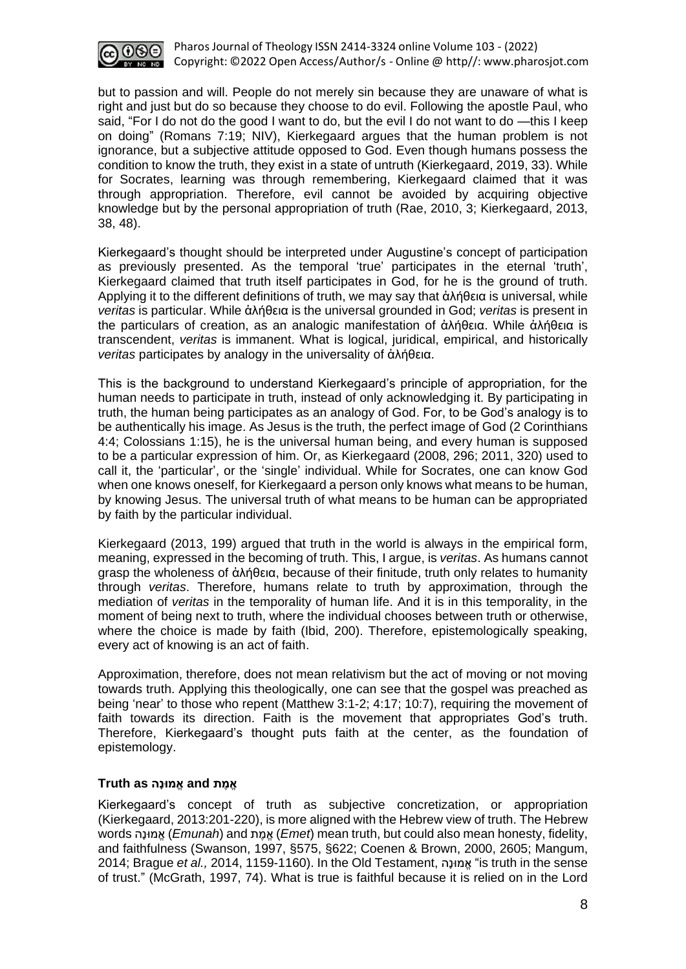

but to passion and will. People do not merely sin because they are unaware of what is right and just but do so because they choose to do evil. Following the apostle Paul, who said, "For I do not do the good I want to do, but the evil I do not want to do —this I keep on doing" (Romans 7:19; NIV), Kierkegaard argues that the human problem is not ignorance, but a subjective attitude opposed to God. Even though humans possess the condition to know the truth, they exist in a state of untruth (Kierkegaard, 2019, 33). While for Socrates, learning was through remembering, Kierkegaard claimed that it was through appropriation. Therefore, evil cannot be avoided by acquiring objective knowledge but by the personal appropriation of truth (Rae, 2010, 3; Kierkegaard, 2013, 38, 48).

Kierkegaard's thought should be interpreted under Augustine's concept of participation as previously presented. As the temporal 'true' participates in the eternal 'truth', Kierkegaard claimed that truth itself participates in God, for he is the ground of truth. Applying it to the different definitions of truth, we may say that ἀλήθεια is universal, while *veritas* is particular. While ἀλήθεια is the universal grounded in God; *veritas* is present in the particulars of creation, as an analogic manifestation of ἀλήθεια. While ἀλήθεια is transcendent, *veritas* is immanent. What is logical, juridical, empirical, and historically *veritas* participates by analogy in the universality of ἀλήθεια.

This is the background to understand Kierkegaard's principle of appropriation, for the human needs to participate in truth, instead of only acknowledging it. By participating in truth, the human being participates as an analogy of God. For, to be God's analogy is to be authentically his image. As Jesus is the truth, the perfect image of God (2 Corinthians 4:4; Colossians 1:15), he is the universal human being, and every human is supposed to be a particular expression of him. Or, as Kierkegaard (2008, 296; 2011, 320) used to call it, the 'particular', or the 'single' individual. While for Socrates, one can know God when one knows oneself, for Kierkegaard a person only knows what means to be human, by knowing Jesus. The universal truth of what means to be human can be appropriated by faith by the particular individual.

Kierkegaard (2013, 199) argued that truth in the world is always in the empirical form, meaning, expressed in the becoming of truth. This, I argue, is *veritas*. As humans cannot grasp the wholeness of ἀλήθεια, because of their finitude, truth only relates to humanity through *veritas*. Therefore, humans relate to truth by approximation, through the mediation of *veritas* in the temporality of human life. And it is in this temporality, in the moment of being next to truth, where the individual chooses between truth or otherwise, where the choice is made by faith (Ibid, 200). Therefore, epistemologically speaking, every act of knowing is an act of faith.

Approximation, therefore, does not mean relativism but the act of moving or not moving towards truth. Applying this theologically, one can see that the gospel was preached as being 'near' to those who repent (Matthew 3:1-2; 4:17; 10:7), requiring the movement of faith towards its direction. Faith is the movement that appropriates God's truth. Therefore, Kierkegaard's thought puts faith at the center, as the foundation of epistemology.

#### **אֱמֶ ת and אֱמּונָה as Truth**

Kierkegaard's concept of truth as subjective concretization, or appropriation (Kierkegaard, 2013:201-220), is more aligned with the Hebrew view of truth. The Hebrew words הָונּמֱא) *Emunah*) and ת ֶמֱא) *Emet*) mean truth, but could also mean honesty, fidelity, and faithfulness (Swanson, 1997, §575, §622; Coenen & Brown, 2000, 2605; Mangum, 2014; Brague *et al.,* 2014, 1159-1160). In the Old Testament, הָונּמֱא" is truth in the sense of trust." (McGrath, 1997, 74). What is true is faithful because it is relied on in the Lord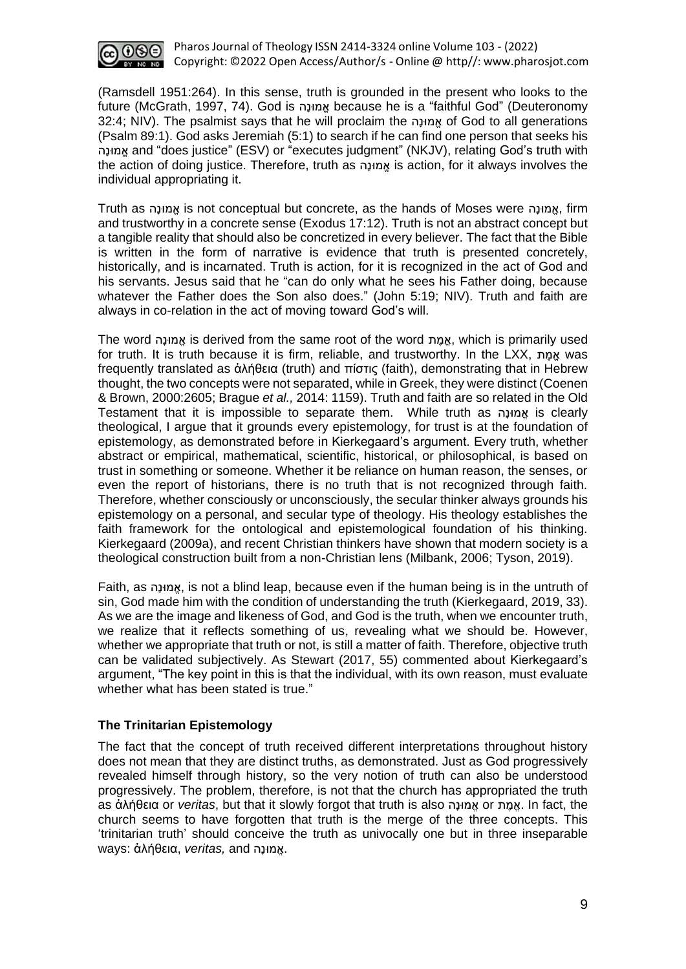

(Ramsdell 1951:264). In this sense, truth is grounded in the present who looks to the future (McGrath, 1997, 74). God is הָונּמֱא because he is a "faithful God" (Deuteronomy 32:4; NIV). The psalmist says that he will proclaim the הָונּמֱא of God to all generations (Psalm 89:1). God asks Jeremiah (5:1) to search if he can find one person that seeks his הָונּמֱא and "does justice" (ESV) or "executes judgment" (NKJV), relating God's truth with the action of doing justice. Therefore, truth as הָונּמֱא is action, for it always involves the individual appropriating it.

Truth as הָונּמֱא is not conceptual but concrete, as the hands of Moses were הָונּמֱא, firm and trustworthy in a concrete sense (Exodus 17:12). Truth is not an abstract concept but a tangible reality that should also be concretized in every believer. The fact that the Bible is written in the form of narrative is evidence that truth is presented concretely, historically, and is incarnated. Truth is action, for it is recognized in the act of God and his servants. Jesus said that he "can do only what he sees his Father doing, because whatever the Father does the Son also does." (John 5:19; NIV). Truth and faith are always in co-relation in the act of moving toward God's will.

The word הָונּמֱא is derived from the same root of the word ת ֶמֱא, which is primarily used for truth. It is truth because it is firm, reliable, and trustworthy. In the LXX, אֲמֶת was frequently translated as ἀλήθεια (truth) and πίστις (faith), demonstrating that in Hebrew thought, the two concepts were not separated, while in Greek, they were distinct (Coenen & Brown, 2000:2605; Brague *et al.,* 2014: 1159). Truth and faith are so related in the Old Testament that it is impossible to separate them. While truth as הָונּמֱא is clearly theological, I argue that it grounds every epistemology, for trust is at the foundation of epistemology, as demonstrated before in Kierkegaard's argument. Every truth, whether abstract or empirical, mathematical, scientific, historical, or philosophical, is based on trust in something or someone. Whether it be reliance on human reason, the senses, or even the report of historians, there is no truth that is not recognized through faith. Therefore, whether consciously or unconsciously, the secular thinker always grounds his epistemology on a personal, and secular type of theology. His theology establishes the faith framework for the ontological and epistemological foundation of his thinking. Kierkegaard (2009a), and recent Christian thinkers have shown that modern society is a theological construction built from a non-Christian lens (Milbank, 2006; Tyson, 2019).

Faith, as הָונּמֱא, is not a blind leap, because even if the human being is in the untruth of sin, God made him with the condition of understanding the truth (Kierkegaard, 2019, 33). As we are the image and likeness of God, and God is the truth, when we encounter truth, we realize that it reflects something of us, revealing what we should be. However, whether we appropriate that truth or not, is still a matter of faith. Therefore, objective truth can be validated subjectively. As Stewart (2017, 55) commented about Kierkegaard's argument, "The key point in this is that the individual, with its own reason, must evaluate whether what has been stated is true."

## **The Trinitarian Epistemology**

The fact that the concept of truth received different interpretations throughout history does not mean that they are distinct truths, as demonstrated. Just as God progressively revealed himself through history, so the very notion of truth can also be understood progressively. The problem, therefore, is not that the church has appropriated the truth as ἀλήθεια or *veritas*, but that it slowly forgot that truth is also הָונּמֱא or ת ֶמֱא. In fact, the church seems to have forgotten that truth is the merge of the three concepts. This 'trinitarian truth' should conceive the truth as univocally one but in three inseparable .אֱמּונָה and *,veritas* ,ἀλήθεια :ways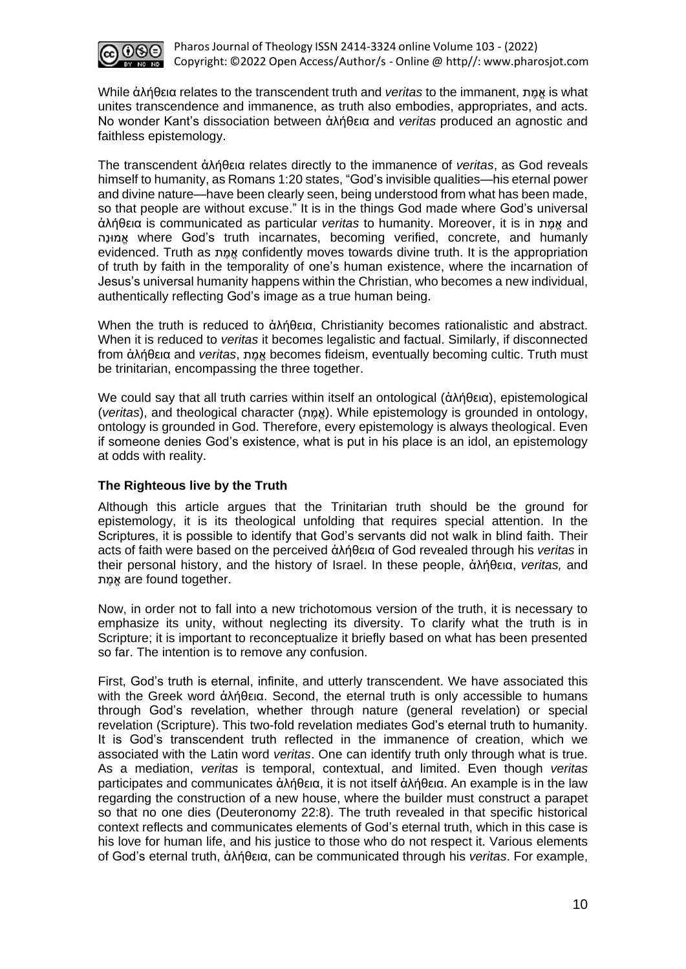

While ἀλήθεια relates to the transcendent truth and *veritas* to the immanent, ת ֶמֱא is what unites transcendence and immanence, as truth also embodies, appropriates, and acts. No wonder Kant's dissociation between ἀλήθεια and *veritas* produced an agnostic and faithless epistemology.

The transcendent ἀλήθεια relates directly to the immanence of *veritas*, as God reveals himself to humanity, as Romans 1:20 states, "God's invisible qualities—his eternal power and divine nature—have been clearly seen, being understood from what has been made, so that people are without excuse." It is in the things God made where God's universal άλήθεια is communicated as particular *veritas* to humanity. Moreover, it is in *χ*αnd הָונּמֱא where God's truth incarnates, becoming verified, concrete, and humanly evidenced. Truth as אמת confidently moves towards divine truth. It is the appropriation of truth by faith in the temporality of one's human existence, where the incarnation of Jesus's universal humanity happens within the Christian, who becomes a new individual, authentically reflecting God's image as a true human being.

When the truth is reduced to ἀλήθεια, Christianity becomes rationalistic and abstract. When it is reduced to *veritas* it becomes legalistic and factual. Similarly, if disconnected from ἀλήθεια and *veritas*, *n*g becomes fideism, eventually becoming cultic. Truth must be trinitarian, encompassing the three together.

We could say that all truth carries within itself an ontological (ἀλήθεια), epistemological (*veritas*), and theological character (ת ֶמֱא(. While epistemology is grounded in ontology, ontology is grounded in God. Therefore, every epistemology is always theological. Even if someone denies God's existence, what is put in his place is an idol, an epistemology at odds with reality.

## **The Righteous live by the Truth**

Although this article argues that the Trinitarian truth should be the ground for epistemology, it is its theological unfolding that requires special attention. In the Scriptures, it is possible to identify that God's servants did not walk in blind faith. Their acts of faith were based on the perceived ἀλήθεια of God revealed through his *veritas* in their personal history, and the history of Israel. In these people, ἀλήθεια, *veritas,* and .together found are אֱמֶ ת

Now, in order not to fall into a new trichotomous version of the truth, it is necessary to emphasize its unity, without neglecting its diversity. To clarify what the truth is in Scripture; it is important to reconceptualize it briefly based on what has been presented so far. The intention is to remove any confusion.

First, God's truth is eternal, infinite, and utterly transcendent. We have associated this with the Greek word ἀλήθεια. Second, the eternal truth is only accessible to humans through God's revelation, whether through nature (general revelation) or special revelation (Scripture). This two-fold revelation mediates God's eternal truth to humanity. It is God's transcendent truth reflected in the immanence of creation, which we associated with the Latin word *veritas*. One can identify truth only through what is true. As a mediation, *veritas* is temporal, contextual, and limited. Even though *veritas* participates and communicates ἀλήθεια, it is not itself ἀλήθεια. An example is in the law regarding the construction of a new house, where the builder must construct a parapet so that no one dies (Deuteronomy 22:8). The truth revealed in that specific historical context reflects and communicates elements of God's eternal truth, which in this case is his love for human life, and his justice to those who do not respect it. Various elements of God's eternal truth, ἀλήθεια, can be communicated through his *veritas*. For example,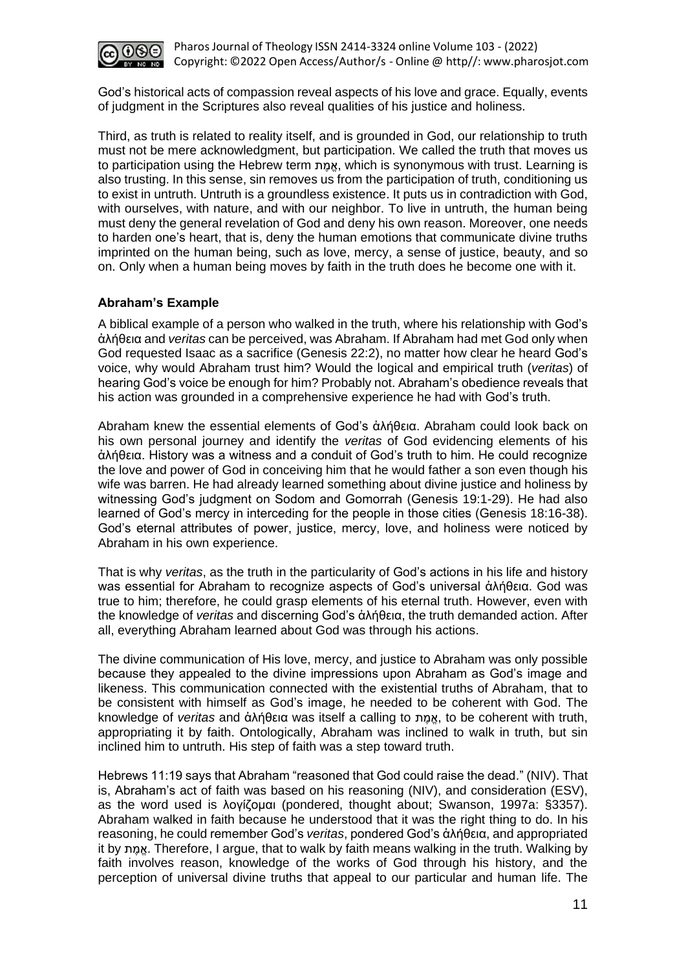

God's historical acts of compassion reveal aspects of his love and grace. Equally, events of judgment in the Scriptures also reveal qualities of his justice and holiness.

Third, as truth is related to reality itself, and is grounded in God, our relationship to truth must not be mere acknowledgment, but participation. We called the truth that moves us to participation using the Hebrew term ת ֶמֱא, which is synonymous with trust. Learning is also trusting. In this sense, sin removes us from the participation of truth, conditioning us to exist in untruth. Untruth is a groundless existence. It puts us in contradiction with God, with ourselves, with nature, and with our neighbor. To live in untruth, the human being must deny the general revelation of God and deny his own reason. Moreover, one needs to harden one's heart, that is, deny the human emotions that communicate divine truths imprinted on the human being, such as love, mercy, a sense of justice, beauty, and so on. Only when a human being moves by faith in the truth does he become one with it.

#### **Abraham's Example**

A biblical example of a person who walked in the truth, where his relationship with God's ἀλήθεια and *veritas* can be perceived, was Abraham. If Abraham had met God only when God requested Isaac as a sacrifice (Genesis 22:2), no matter how clear he heard God's voice, why would Abraham trust him? Would the logical and empirical truth (*veritas*) of hearing God's voice be enough for him? Probably not. Abraham's obedience reveals that his action was grounded in a comprehensive experience he had with God's truth.

Abraham knew the essential elements of God's ἀλήθεια. Abraham could look back on his own personal journey and identify the *veritas* of God evidencing elements of his ἀλήθεια. History was a witness and a conduit of God's truth to him. He could recognize the love and power of God in conceiving him that he would father a son even though his wife was barren. He had already learned something about divine justice and holiness by witnessing God's judgment on Sodom and Gomorrah (Genesis 19:1-29). He had also learned of God's mercy in interceding for the people in those cities (Genesis 18:16-38). God's eternal attributes of power, justice, mercy, love, and holiness were noticed by Abraham in his own experience.

That is why *veritas*, as the truth in the particularity of God's actions in his life and history was essential for Abraham to recognize aspects of God's universal ἀλήθεια. God was true to him; therefore, he could grasp elements of his eternal truth. However, even with the knowledge of *veritas* and discerning God's ἀλήθεια, the truth demanded action. After all, everything Abraham learned about God was through his actions.

The divine communication of His love, mercy, and justice to Abraham was only possible because they appealed to the divine impressions upon Abraham as God's image and likeness. This communication connected with the existential truths of Abraham, that to be consistent with himself as God's image, he needed to be coherent with God. The knowledge of *veritas* and ἀλήθεια was itself a calling to nαινα, to be coherent with truth, appropriating it by faith. Ontologically, Abraham was inclined to walk in truth, but sin inclined him to untruth. His step of faith was a step toward truth.

Hebrews 11:19 says that Abraham "reasoned that God could raise the dead." (NIV). That is, Abraham's act of faith was based on his reasoning (NIV), and consideration (ESV), as the word used is λογίζομαι (pondered, thought about; Swanson, 1997a: §3357). Abraham walked in faith because he understood that it was the right thing to do. In his reasoning, he could remember God's *veritas*, pondered God's ἀλήθεια, and appropriated it by ת ֶמֱא. Therefore, I argue, that to walk by faith means walking in the truth. Walking by faith involves reason, knowledge of the works of God through his history, and the perception of universal divine truths that appeal to our particular and human life. The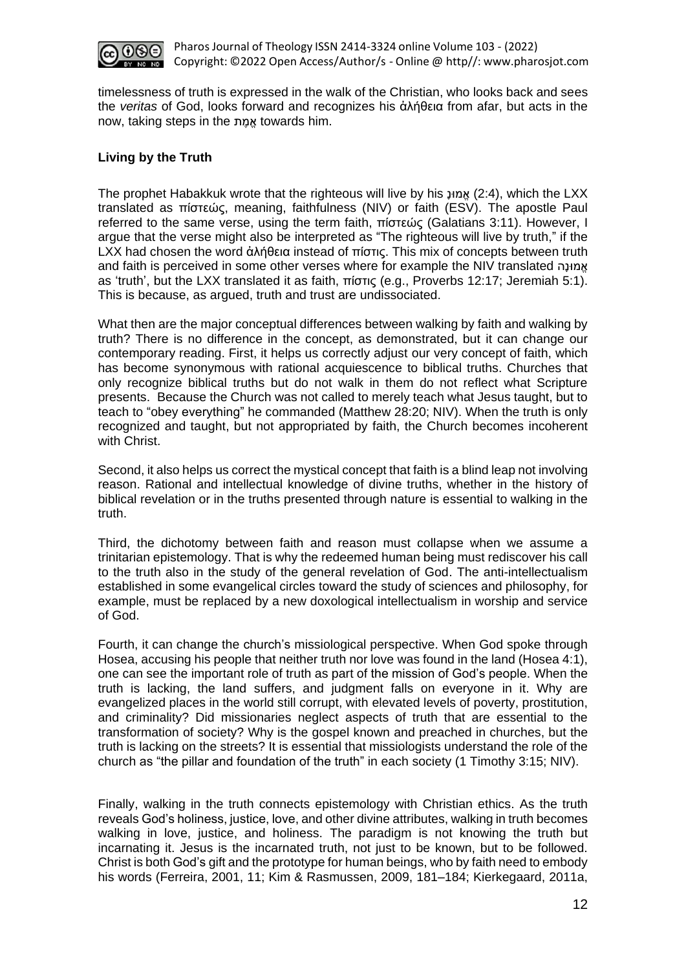

timelessness of truth is expressed in the walk of the Christian, who looks back and sees the *veritas* of God, looks forward and recognizes his ἀλήθεια from afar, but acts in the now, taking steps in the ת ֶמֱא towards him.

# **Living by the Truth**

The prophet Habakkuk wrote that the righteous will live by his ָונּמֱא) 2:4(, which the LXX translated as πίστεώς, meaning, faithfulness (NIV) or faith (ESV). The apostle Paul referred to the same verse, using the term faith, πίστεώς (Galatians 3:11). However, I argue that the verse might also be interpreted as "The righteous will live by truth," if the LXX had chosen the word ἀλήθεια instead of πίστις. This mix of concepts between truth and faith is perceived in some other verses where for example the NIV translated הָונּמֱא as 'truth', but the LXX translated it as faith, πίστις (e.g., Proverbs 12:17; Jeremiah 5:1). This is because, as argued, truth and trust are undissociated.

What then are the major conceptual differences between walking by faith and walking by truth? There is no difference in the concept, as demonstrated, but it can change our contemporary reading. First, it helps us correctly adjust our very concept of faith, which has become synonymous with rational acquiescence to biblical truths. Churches that only recognize biblical truths but do not walk in them do not reflect what Scripture presents. Because the Church was not called to merely teach what Jesus taught, but to teach to "obey everything" he commanded (Matthew 28:20; NIV). When the truth is only recognized and taught, but not appropriated by faith, the Church becomes incoherent with Christ.

Second, it also helps us correct the mystical concept that faith is a blind leap not involving reason. Rational and intellectual knowledge of divine truths, whether in the history of biblical revelation or in the truths presented through nature is essential to walking in the truth.

Third, the dichotomy between faith and reason must collapse when we assume a trinitarian epistemology. That is why the redeemed human being must rediscover his call to the truth also in the study of the general revelation of God. The anti-intellectualism established in some evangelical circles toward the study of sciences and philosophy, for example, must be replaced by a new doxological intellectualism in worship and service of God.

Fourth, it can change the church's missiological perspective. When God spoke through Hosea, accusing his people that neither truth nor love was found in the land (Hosea 4:1), one can see the important role of truth as part of the mission of God's people. When the truth is lacking, the land suffers, and judgment falls on everyone in it. Why are evangelized places in the world still corrupt, with elevated levels of poverty, prostitution, and criminality? Did missionaries neglect aspects of truth that are essential to the transformation of society? Why is the gospel known and preached in churches, but the truth is lacking on the streets? It is essential that missiologists understand the role of the church as "the pillar and foundation of the truth" in each society (1 Timothy 3:15; NIV).

Finally, walking in the truth connects epistemology with Christian ethics. As the truth reveals God's holiness, justice, love, and other divine attributes, walking in truth becomes walking in love, justice, and holiness. The paradigm is not knowing the truth but incarnating it. Jesus is the incarnated truth, not just to be known, but to be followed. Christ is both God's gift and the prototype for human beings, who by faith need to embody his words (Ferreira, 2001, 11; Kim & Rasmussen, 2009, 181–184; Kierkegaard, 2011a,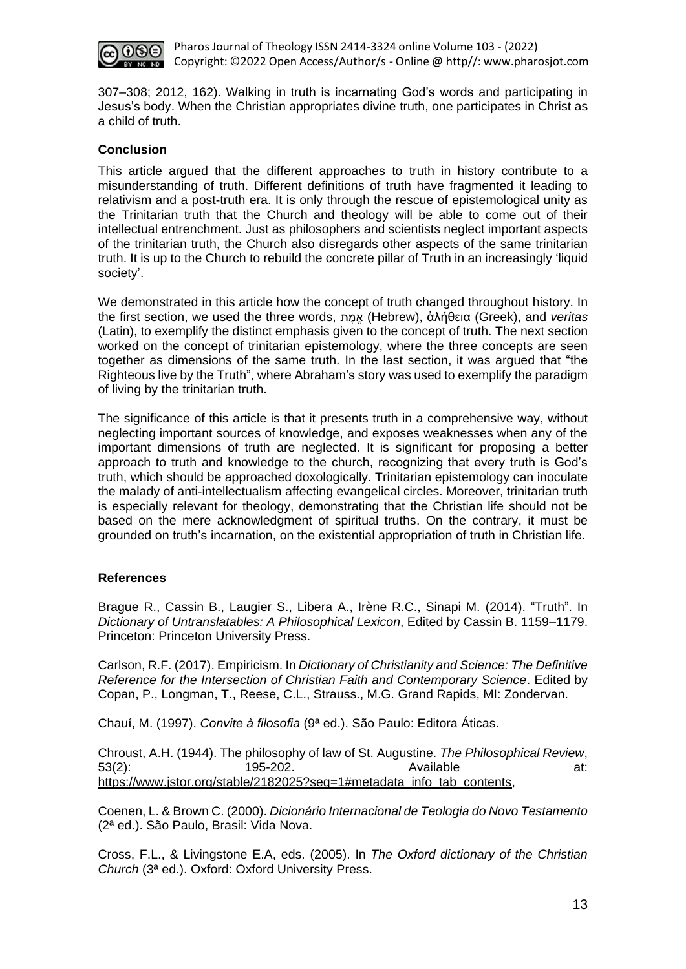

307–308; 2012, 162). Walking in truth is incarnating God's words and participating in Jesus's body. When the Christian appropriates divine truth, one participates in Christ as a child of truth.

# **Conclusion**

This article argued that the different approaches to truth in history contribute to a misunderstanding of truth. Different definitions of truth have fragmented it leading to relativism and a post-truth era. It is only through the rescue of epistemological unity as the Trinitarian truth that the Church and theology will be able to come out of their intellectual entrenchment. Just as philosophers and scientists neglect important aspects of the trinitarian truth, the Church also disregards other aspects of the same trinitarian truth. It is up to the Church to rebuild the concrete pillar of Truth in an increasingly 'liquid society'.

We demonstrated in this article how the concept of truth changed throughout history. In the first section, we used the three words, ת ֶמֱא) Hebrew), ἀλήθεια (Greek), and *veritas* (Latin), to exemplify the distinct emphasis given to the concept of truth. The next section worked on the concept of trinitarian epistemology, where the three concepts are seen together as dimensions of the same truth. In the last section, it was argued that "the Righteous live by the Truth", where Abraham's story was used to exemplify the paradigm of living by the trinitarian truth.

The significance of this article is that it presents truth in a comprehensive way, without neglecting important sources of knowledge, and exposes weaknesses when any of the important dimensions of truth are neglected. It is significant for proposing a better approach to truth and knowledge to the church, recognizing that every truth is God's truth, which should be approached doxologically. Trinitarian epistemology can inoculate the malady of anti-intellectualism affecting evangelical circles. Moreover, trinitarian truth is especially relevant for theology, demonstrating that the Christian life should not be based on the mere acknowledgment of spiritual truths. On the contrary, it must be grounded on truth's incarnation, on the existential appropriation of truth in Christian life.

## **References**

Brague R., Cassin B., Laugier S., Libera A., Irène R.C., Sinapi M. (2014). "Truth". In *Dictionary of Untranslatables: A Philosophical Lexicon*, Edited by Cassin B. 1159–1179. Princeton: Princeton University Press.

Carlson, R.F. (2017). Empiricism. In *Dictionary of Christianity and Science: The Definitive Reference for the Intersection of Christian Faith and Contemporary Science*. Edited by Copan, P., Longman, T., Reese, C.L., Strauss., M.G. Grand Rapids, MI: Zondervan.

Chauí, M. (1997). *Convite à filosofia* (9ª ed.). São Paulo: Editora Áticas.

Chroust, A.H. (1944). The philosophy of law of St. Augustine. *The Philosophical Review*, 53(2): 195-202. Available at: [https://www.jstor.org/stable/2182025?seq=1#metadata\\_info\\_tab\\_contents,](https://www.jstor.org/stable/2182025?seq=1#metadata_info_tab_contents)

Coenen, L. & Brown C. (2000). *Dicionário Internacional de Teologia do Novo Testamento*  (2ª ed.). São Paulo, Brasil: Vida Nova.

Cross, F.L., & Livingstone E.A, eds. (2005). In *The Oxford dictionary of the Christian Church* (3ª ed.). Oxford: Oxford University Press.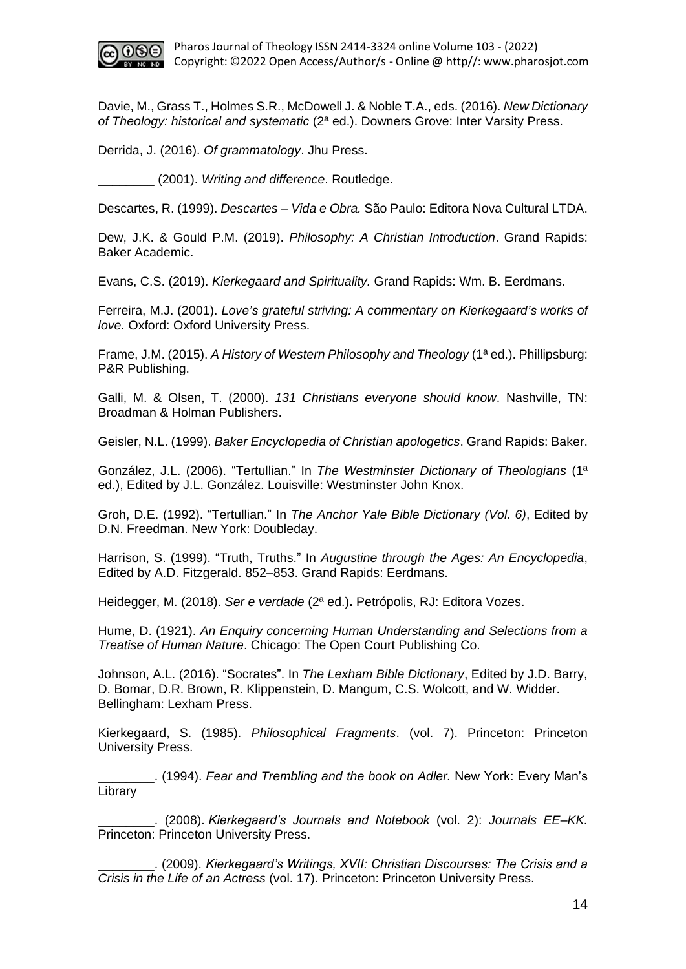

Davie, M., Grass T., Holmes S.R., McDowell J. & Noble T.A., eds. (2016). *New Dictionary of Theology: historical and systematic* (2ª ed.). Downers Grove: Inter Varsity Press.

Derrida, J. (2016). *Of grammatology*. Jhu Press.

\_\_\_\_\_\_\_\_ (2001). *Writing and difference*. Routledge.

Descartes, R. (1999). *Descartes – Vida e Obra.* São Paulo: Editora Nova Cultural LTDA.

Dew, J.K. & Gould P.M. (2019). *Philosophy: A Christian Introduction*. Grand Rapids: Baker Academic.

Evans, C.S. (2019). *Kierkegaard and Spirituality.* Grand Rapids: Wm. B. Eerdmans.

Ferreira, M.J. (2001). *Love's grateful striving: A commentary on Kierkegaard's works of love.* Oxford: Oxford University Press.

Frame, J.M. (2015). *A History of Western Philosophy and Theology* (1ª ed.). Phillipsburg: P&R Publishing.

Galli, M. & Olsen, T. (2000). *131 Christians everyone should know*. Nashville, TN: Broadman & Holman Publishers.

Geisler, N.L. (1999). *Baker Encyclopedia of Christian apologetics*. Grand Rapids: Baker.

González, J.L. (2006). "Tertullian." In *The Westminster Dictionary of Theologians* (1ª ed.), Edited by J.L. González. Louisville: Westminster John Knox.

Groh, D.E. (1992). "Tertullian." In *The Anchor Yale Bible Dictionary (Vol. 6)*, Edited by D.N. Freedman. New York: Doubleday.

Harrison, S. (1999). "Truth, Truths." In *Augustine through the Ages: An Encyclopedia*, Edited by A.D. Fitzgerald. 852–853. Grand Rapids: Eerdmans.

Heidegger, M. (2018). *Ser e verdade* (2ª ed.)**.** Petrópolis, RJ: Editora Vozes.

Hume, D. (1921). *An Enquiry concerning Human Understanding and Selections from a Treatise of Human Nature*. Chicago: The Open Court Publishing Co.

Johnson, A.L. (2016). "Socrates". In *The Lexham Bible Dictionary*, Edited by J.D. Barry, D. Bomar, D.R. Brown, R. Klippenstein, D. Mangum, C.S. Wolcott, and W. Widder. Bellingham: Lexham Press.

Kierkegaard, S. (1985). *Philosophical Fragments*. (vol. 7). Princeton: Princeton University Press.

\_\_\_\_\_\_\_\_. (1994). *Fear and Trembling and the book on Adler.* New York: Every Man's Library

\_\_\_\_\_\_\_\_. (2008). *Kierkegaard's Journals and Notebook* (vol. 2): *Journals EE–KK.*  Princeton: Princeton University Press.

\_\_\_\_\_\_\_\_. (2009). *Kierkegaard's Writings, XVII: Christian Discourses: The Crisis and a Crisis in the Life of an Actress* (vol. 17)*.* Princeton: Princeton University Press.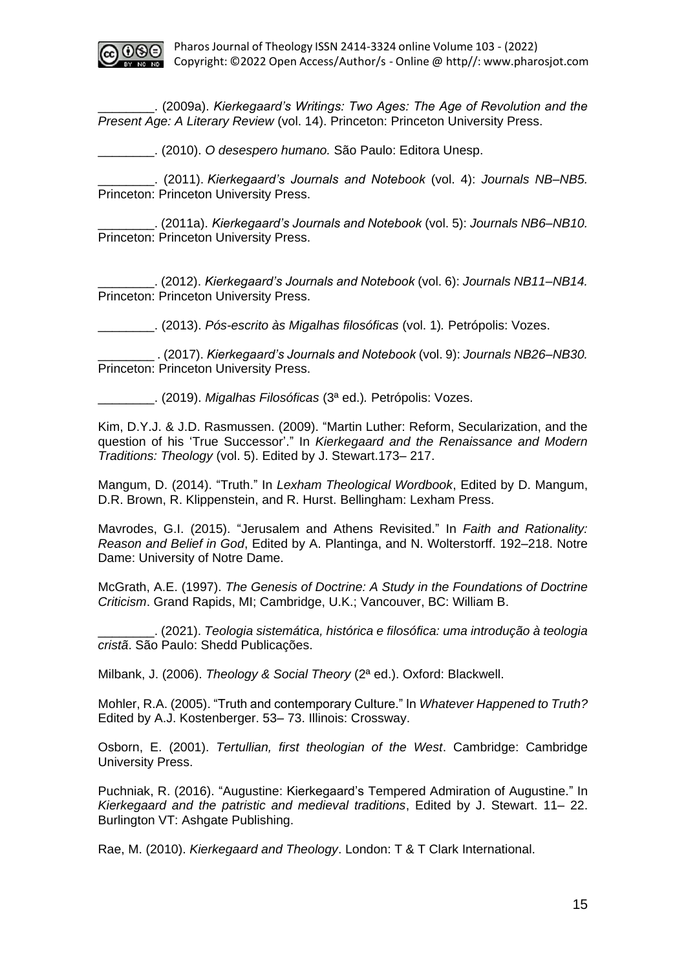

\_\_\_\_\_\_\_\_. (2009a). *Kierkegaard's Writings: Two Ages: The Age of Revolution and the Present Age: A Literary Review* (vol. 14). Princeton: Princeton University Press.

\_\_\_\_\_\_\_\_. (2010). *O desespero humano.* São Paulo: Editora Unesp.

\_\_\_\_\_\_\_\_. (2011). *Kierkegaard's Journals and Notebook* (vol. 4): *Journals NB–NB5.*  Princeton: Princeton University Press.

\_\_\_\_\_\_\_\_. (2011a). *Kierkegaard's Journals and Notebook* (vol. 5): *Journals NB6–NB10.*  Princeton: Princeton University Press.

\_\_\_\_\_\_\_\_. (2012). *Kierkegaard's Journals and Notebook* (vol. 6): *Journals NB11–NB14.*  Princeton: Princeton University Press.

\_\_\_\_\_\_\_\_. (2013). *Pós-escrito às Migalhas filosóficas* (vol. 1)*.* Petrópolis: Vozes.

\_\_\_\_\_\_\_\_ . (2017). *Kierkegaard's Journals and Notebook* (vol. 9): *Journals NB26–NB30.*  Princeton: Princeton University Press.

\_\_\_\_\_\_\_\_. (2019). *Migalhas Filosóficas* (3ª ed.)*.* Petrópolis: Vozes.

Kim, D.Y.J. & J.D. Rasmussen. (2009). "Martin Luther: Reform, Secularization, and the question of his 'True Successor'." In *Kierkegaard and the Renaissance and Modern Traditions: Theology* (vol. 5). Edited by J. Stewart.173– 217.

Mangum, D. (2014). "Truth." In *Lexham Theological Wordbook*, Edited by D. Mangum, D.R. Brown, R. Klippenstein, and R. Hurst. Bellingham: Lexham Press.

Mavrodes, G.I. (2015). "Jerusalem and Athens Revisited." In *Faith and Rationality: Reason and Belief in God*, Edited by A. Plantinga, and N. Wolterstorff. 192–218. Notre Dame: University of Notre Dame.

McGrath, A.E. (1997). *The Genesis of Doctrine: A Study in the Foundations of Doctrine Criticism*. Grand Rapids, MI; Cambridge, U.K.; Vancouver, BC: William B.

\_\_\_\_\_\_\_\_. (2021). *Teologia sistemática, histórica e filosófica: uma introdução à teologia cristã*. São Paulo: Shedd Publicações.

Milbank, J. (2006). *Theology & Social Theory* (2ª ed.). Oxford: Blackwell.

Mohler, R.A. (2005). "Truth and contemporary Culture." In *Whatever Happened to Truth?* Edited by A.J. Kostenberger. 53– 73. Illinois: Crossway.

Osborn, E. (2001). *Tertullian, first theologian of the West*. Cambridge: Cambridge University Press.

Puchniak, R. (2016). "Augustine: Kierkegaard's Tempered Admiration of Augustine." In *Kierkegaard and the patristic and medieval traditions*, Edited by J. Stewart. 11– 22. Burlington VT: Ashgate Publishing.

Rae, M. (2010). *Kierkegaard and Theology*. London: T & T Clark International.